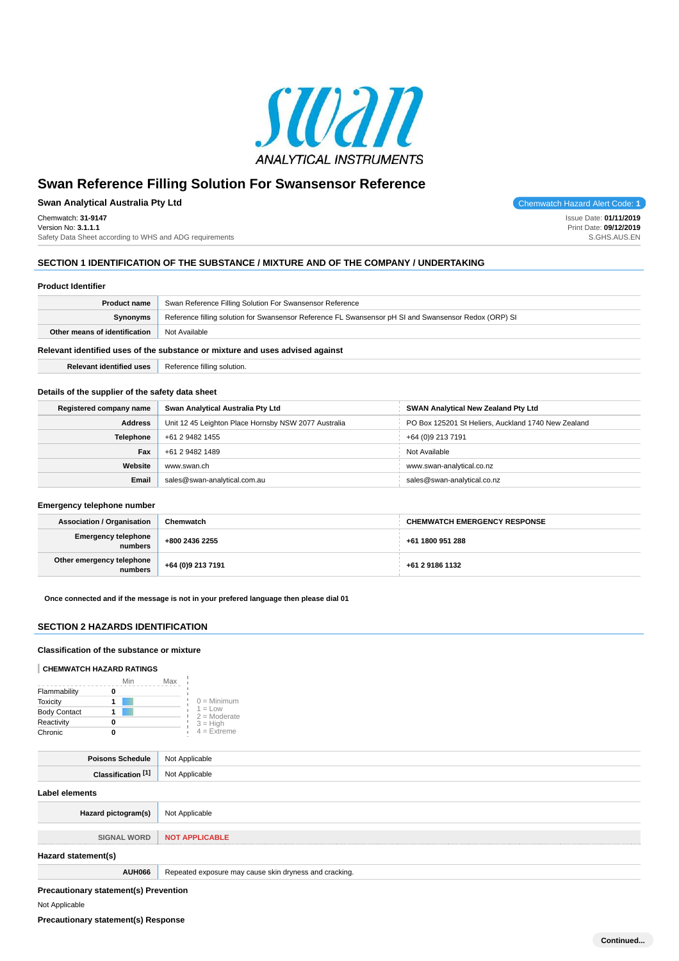

**Swan Analytical Australia Pty Ltd Chemwatch Hazard Alert Code: 1** Chemwatch: **31-9147** Version No: **3.1.1.1**

Safety Data Sheet according to WHS and ADG requirements

## **SECTION 1 IDENTIFICATION OF THE SUBSTANCE / MIXTURE AND OF THE COMPANY / UNDERTAKING**

### **Product Identifier**

| <b>Product name</b>                                                           | Swan Reference Filling Solution For Swansensor Reference                                              |  |
|-------------------------------------------------------------------------------|-------------------------------------------------------------------------------------------------------|--|
| <b>Synonyms</b>                                                               | Reference filling solution for Swansensor Reference FL Swansensor pH SI and Swansensor Redox (ORP) SI |  |
| Other means of identification                                                 | Not Available                                                                                         |  |
| Relevant identified uses of the substance or mixture and uses advised against |                                                                                                       |  |

**Relevant identified uses Reference filling solution.** 

### **Details of the supplier of the safety data sheet**

| Registered company name | Swan Analytical Australia Pty Ltd                    | SWAN Analytical New Zealand Pty Ltd                 |  |  |
|-------------------------|------------------------------------------------------|-----------------------------------------------------|--|--|
| <b>Address</b>          | Unit 12 45 Leighton Place Hornsby NSW 2077 Australia | PO Box 125201 St Heliers, Auckland 1740 New Zealand |  |  |
| <b>Telephone</b>        | +61 2 9482 1455                                      | +64 (0)9 213 7191                                   |  |  |
| Fax                     | +61 2 9482 1489                                      | Not Available                                       |  |  |
| Website                 | www.swan.ch                                          | www.swan-analytical.co.nz                           |  |  |
| Email                   | sales@swan-analytical.com.au                         | sales@swan-analytical.co.nz                         |  |  |

### **Emergency telephone number**

| <b>Association / Organisation</b>      | Chemwatch         | <b>CHEMWATCH EMERGENCY RESPONSE</b> |
|----------------------------------------|-------------------|-------------------------------------|
| Emergency telephone<br>numbers         | +800 2436 2255    | +61 1800 951 288                    |
| Other emergency telephone<br>  numbers | +64 (0)9 213 7191 | +61 2 9186 1132                     |

**Once connected and if the message is not in your prefered language then please dial 01**

# **SECTION 2 HAZARDS IDENTIFICATION**

### **Classification of the substance or mixture**

#### **CHEMWATCH HAZARD RATINGS**

|                     | Min<br>Max |                             |
|---------------------|------------|-----------------------------|
| Flammability        |            |                             |
| <b>Toxicity</b>     |            | $0 =$ Minimum               |
| <b>Body Contact</b> |            | $1 = Low$<br>$2 =$ Moderate |
| Reactivity          |            | $3 = High$                  |
| Chronic             |            | $4 = Ex$ <i>reme</i>        |

| <b>Poisons Schedule</b>       | Not Applicable                                         |
|-------------------------------|--------------------------------------------------------|
| Classification <sup>[1]</sup> | Not Applicable                                         |
| <b>Label elements</b>         |                                                        |
| Hazard pictogram(s)           | Not Applicable                                         |
| <b>SIGNAL WORD</b>            | <b>NOT APPLICABLE</b>                                  |
| Hazard statement(s)           |                                                        |
| AUH066                        | Repeated exposure may cause skin dryness and cracking. |
|                               |                                                        |

# **Precautionary statement(s) Prevention**

# Not Applicable

**Precautionary statement(s) Response**

Issue Date: **01/11/2019** Print Date: **09/12/2019** S.GHS.AUS.EN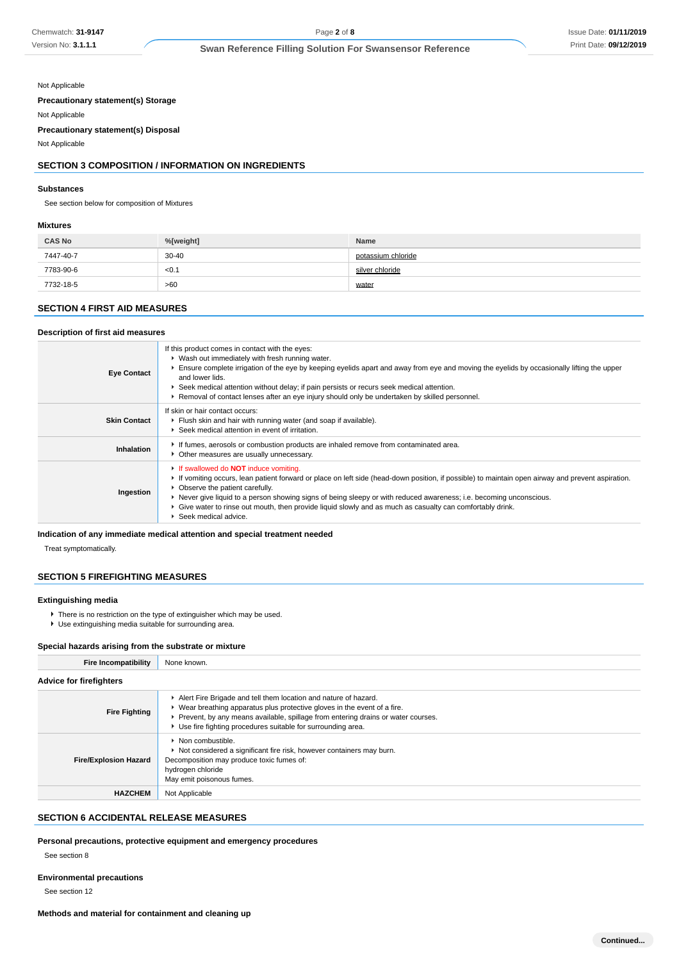Not Applicable

**Precautionary statement(s) Storage**

Not Applicable **Precautionary statement(s) Disposal**

Not Applicable

# **SECTION 3 COMPOSITION / INFORMATION ON INGREDIENTS**

#### **Substances**

See section below for composition of Mixtures

#### **Mixtures**

| <b>CAS No</b> | %[weight] | Name               |
|---------------|-----------|--------------------|
| 7447-40-7     | $30 - 40$ | potassium chloride |
| 7783-90-6     | < 0.1     | silver chloride    |
| 7732-18-5     | >60       | water              |

# **SECTION 4 FIRST AID MEASURES**

#### **Description of first aid measures**

| <b>Eye Contact</b>  | If this product comes in contact with the eyes:<br>▶ Wash out immediately with fresh running water.<br>Ensure complete irrigation of the eye by keeping eyelids apart and away from eye and moving the eyelids by occasionally lifting the upper<br>and lower lids.<br>▶ Seek medical attention without delay; if pain persists or recurs seek medical attention.<br>▶ Removal of contact lenses after an eye injury should only be undertaken by skilled personnel.                                                   |
|---------------------|------------------------------------------------------------------------------------------------------------------------------------------------------------------------------------------------------------------------------------------------------------------------------------------------------------------------------------------------------------------------------------------------------------------------------------------------------------------------------------------------------------------------|
| <b>Skin Contact</b> | If skin or hair contact occurs:<br>Flush skin and hair with running water (and soap if available).<br>▶ Seek medical attention in event of irritation.                                                                                                                                                                                                                                                                                                                                                                 |
| Inhalation          | If fumes, aerosols or combustion products are inhaled remove from contaminated area.<br>• Other measures are usually unnecessary.                                                                                                                                                                                                                                                                                                                                                                                      |
| Ingestion           | If swallowed do <b>NOT</b> induce vomiting.<br>If vomiting occurs, lean patient forward or place on left side (head-down position, if possible) to maintain open airway and prevent aspiration.<br>• Observe the patient carefully.<br>▶ Never give liquid to a person showing signs of being sleepy or with reduced awareness; i.e. becoming unconscious.<br>► Give water to rinse out mouth, then provide liquid slowly and as much as casualty can comfortably drink.<br>$\blacktriangleright$ Seek medical advice. |

### **Indication of any immediate medical attention and special treatment needed**

Treat symptomatically.

## **SECTION 5 FIREFIGHTING MEASURES**

# **Extinguishing media**

- ▶ There is no restriction on the type of extinguisher which may be used.
- Use extinguishing media suitable for surrounding area.

#### **Special hazards arising from the substrate or mixture**

| <b>Fire Incompatibility</b>    | None known.                                                                                                                                                                                                                                                                                                        |
|--------------------------------|--------------------------------------------------------------------------------------------------------------------------------------------------------------------------------------------------------------------------------------------------------------------------------------------------------------------|
| <b>Advice for firefighters</b> |                                                                                                                                                                                                                                                                                                                    |
| <b>Fire Fighting</b>           | Alert Fire Brigade and tell them location and nature of hazard.<br>$\triangleright$ Wear breathing apparatus plus protective gloves in the event of a fire.<br>▶ Prevent, by any means available, spillage from entering drains or water courses.<br>• Use fire fighting procedures suitable for surrounding area. |
| <b>Fire/Explosion Hazard</b>   | $\triangleright$ Non combustible.<br>Not considered a significant fire risk, however containers may burn.<br>Decomposition may produce toxic fumes of:<br>hydrogen chloride<br>May emit poisonous fumes.                                                                                                           |
| <b>HAZCHEM</b>                 | Not Applicable                                                                                                                                                                                                                                                                                                     |

# **SECTION 6 ACCIDENTAL RELEASE MEASURES**

**Personal precautions, protective equipment and emergency procedures**

See section 8

# **Environmental precautions**

See section 12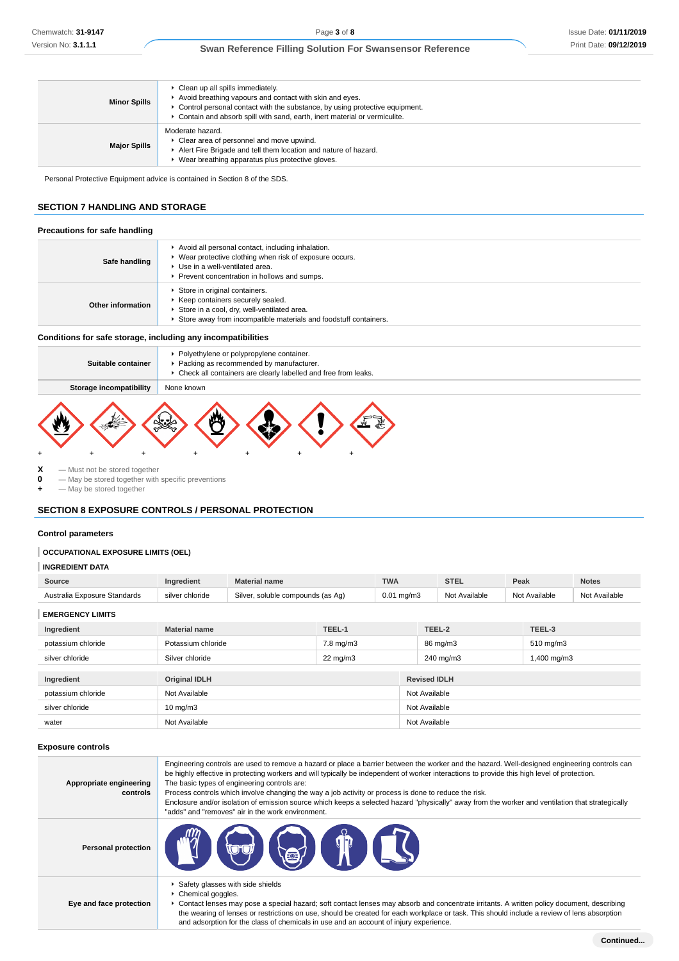| <b>Minor Spills</b> | • Clean up all spills immediately.<br>Avoid breathing vapours and contact with skin and eyes.<br>• Control personal contact with the substance, by using protective equipment.<br>Contain and absorb spill with sand, earth, inert material or vermiculite. |
|---------------------|-------------------------------------------------------------------------------------------------------------------------------------------------------------------------------------------------------------------------------------------------------------|
| <b>Major Spills</b> | Moderate hazard.<br>• Clear area of personnel and move upwind.<br>Alert Fire Brigade and tell them location and nature of hazard.<br>▶ Wear breathing apparatus plus protective gloves.                                                                     |

Personal Protective Equipment advice is contained in Section 8 of the SDS.

# **SECTION 7 HANDLING AND STORAGE**

| Precautions for safe handling |                                                                                                                                                                                                  |
|-------------------------------|--------------------------------------------------------------------------------------------------------------------------------------------------------------------------------------------------|
| Safe handling                 | Avoid all personal contact, including inhalation.<br>▶ Wear protective clothing when risk of exposure occurs.<br>▶ Use in a well-ventilated area.<br>Prevent concentration in hollows and sumps. |
| Other information             | Store in original containers.<br>▶ Keep containers securely sealed.<br>Store in a cool, dry, well-ventilated area.<br>Store away from incompatible materials and foodstuff containers.           |

### **Conditions for safe storage, including any incompatibilities**

| Suitable container      | • Polyethylene or polypropylene container.<br>Packing as recommended by manufacturer.<br>Check all containers are clearly labelled and free from leaks. |
|-------------------------|---------------------------------------------------------------------------------------------------------------------------------------------------------|
| Storage incompatibility | None known                                                                                                                                              |
|                         | <b>W</b><br>≪చి                                                                                                                                         |

**X** — Must not be stored together<br>**0** — May be stored together with **0** — May be stored together with specific preventions

**+** — May be stored together

# **SECTION 8 EXPOSURE CONTROLS / PERSONAL PROTECTION**

### **Control parameters**

# **OCCUPATIONAL EXPOSURE LIMITS (OEL)**

## **INGREDIENT DATA**

| Source                                          | redient            | name                                                 | <b>TWA</b>                                         | <b>ATT</b><br>31 E.L | Peak                           | <b>Notes</b>  |
|-------------------------------------------------|--------------------|------------------------------------------------------|----------------------------------------------------|----------------------|--------------------------------|---------------|
| Standards<br>Australia<br>·xnc<br><b>DSLIFE</b> | chloride<br>silver | compounds (as Ag)<br>$\cdot$ il $\cdot$ o<br>soluble | $\sim$ $\sim$<br>ma/m3<br>v.v<br>$\cdot$<br>$\sim$ | Available<br>.       | ailable<br>N <sub>0</sub><br>. | Not Available |

**EMERGENCY LIMITS**

| Ingredient         | <b>Material name</b> | TEEL-1            |               | TEEL-2              | TEEL-3         |  |
|--------------------|----------------------|-------------------|---------------|---------------------|----------------|--|
| potassium chloride | Potassium chloride   | 7.8 mg/m3         |               | 86 mg/m3            | $510$ mg/m $3$ |  |
| silver chloride    | Silver chloride      | $22 \text{ mg/m}$ |               | 240 mg/m3           | 1,400 mg/m3    |  |
|                    |                      |                   |               |                     |                |  |
| Ingredient         | <b>Original IDLH</b> |                   |               | <b>Revised IDLH</b> |                |  |
| potassium chloride | Not Available        |                   |               | Not Available       |                |  |
| silver chloride    | $10 \text{ mg/m}$    |                   | Not Available |                     |                |  |
| water              | Not Available        |                   | Not Available |                     |                |  |

#### **Exposure controls**

| Appropriate engineering<br>controls | Engineering controls are used to remove a hazard or place a barrier between the worker and the hazard. Well-designed engineering controls can<br>be highly effective in protecting workers and will typically be independent of worker interactions to provide this high level of protection.<br>The basic types of engineering controls are:<br>Process controls which involve changing the way a job activity or process is done to reduce the risk.<br>Enclosure and/or isolation of emission source which keeps a selected hazard "physically" away from the worker and ventilation that strategically<br>"adds" and "removes" air in the work environment. |
|-------------------------------------|-----------------------------------------------------------------------------------------------------------------------------------------------------------------------------------------------------------------------------------------------------------------------------------------------------------------------------------------------------------------------------------------------------------------------------------------------------------------------------------------------------------------------------------------------------------------------------------------------------------------------------------------------------------------|
| <b>Personal protection</b>          | $\blacksquare$ $\Theta$ $\Theta$ $\blacksquare$                                                                                                                                                                                                                                                                                                                                                                                                                                                                                                                                                                                                                 |
| Eye and face protection             | ▶ Safety glasses with side shields<br>Chemical goggles.<br>▶ Contact lenses may pose a special hazard; soft contact lenses may absorb and concentrate irritants. A written policy document, describing<br>the wearing of lenses or restrictions on use, should be created for each workplace or task. This should include a review of lens absorption<br>and adsorption for the class of chemicals in use and an account of injury experience.                                                                                                                                                                                                                  |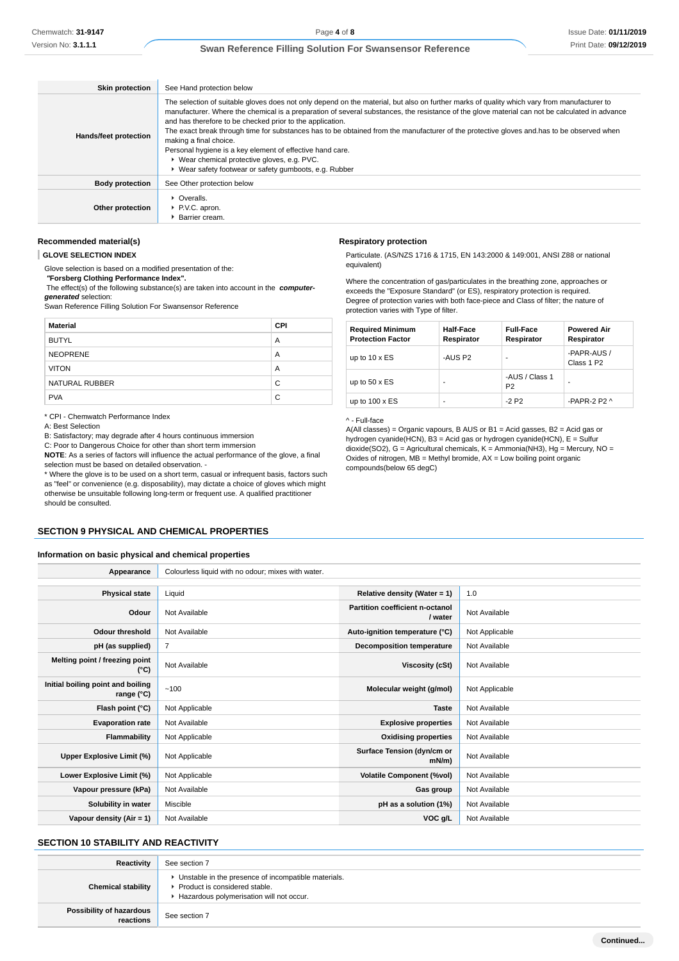| <b>Skin protection</b> | See Hand protection below                                                                                                                                                                                                                                                                                                                                                                                                                                                                                                                                                                                                                                                                                |
|------------------------|----------------------------------------------------------------------------------------------------------------------------------------------------------------------------------------------------------------------------------------------------------------------------------------------------------------------------------------------------------------------------------------------------------------------------------------------------------------------------------------------------------------------------------------------------------------------------------------------------------------------------------------------------------------------------------------------------------|
| Hands/feet protection  | The selection of suitable gloves does not only depend on the material, but also on further marks of quality which vary from manufacturer to<br>manufacturer. Where the chemical is a preparation of several substances, the resistance of the glove material can not be calculated in advance<br>and has therefore to be checked prior to the application.<br>The exact break through time for substances has to be obtained from the manufacturer of the protective gloves and has to be observed when<br>making a final choice.<br>Personal hygiene is a key element of effective hand care.<br>▶ Wear chemical protective gloves, e.g. PVC.<br>▶ Wear safety footwear or safety gumboots, e.g. Rubber |
| <b>Body protection</b> | See Other protection below                                                                                                                                                                                                                                                                                                                                                                                                                                                                                                                                                                                                                                                                               |
| Other protection       | $\triangleright$ Overalls.<br>P.V.C. apron.<br>Barrier cream.                                                                                                                                                                                                                                                                                                                                                                                                                                                                                                                                                                                                                                            |

# **Recommended material(s)**

**GLOVE SELECTION INDEX**

Glove selection is based on a modified presentation of the:

 **"Forsberg Clothing Performance Index".**

 The effect(s) of the following substance(s) are taken into account in the **computergenerated** selection:

Swan Reference Filling Solution For Swansensor Reference

| <b>Material</b> | <b>CPI</b> |
|-----------------|------------|
| <b>BUTYL</b>    | A          |
| <b>NEOPRENE</b> | A          |
| <b>VITON</b>    | A          |
| NATURAL RUBBER  | C          |
| <b>PVA</b>      | C          |

\* CPI - Chemwatch Performance Index

A: Best Selection

B: Satisfactory; may degrade after 4 hours continuous immersion

C: Poor to Dangerous Choice for other than short term immersion

**NOTE**: As a series of factors will influence the actual performance of the glove, a final selection must be based on detailed observation. - \* Where the glove is to be used on a short term, casual or infrequent basis, factors such

as "feel" or convenience (e.g. disposability), may dictate a choice of gloves which might otherwise be unsuitable following long-term or frequent use. A qualified practitioner should be consulted.

## **SECTION 9 PHYSICAL AND CHEMICAL PROPERTIES**

## **Information on basic physical and chemical properties**

| Appearance                                      | Colourless liquid with no odour; mixes with water. |                                            |                |
|-------------------------------------------------|----------------------------------------------------|--------------------------------------------|----------------|
|                                                 |                                                    |                                            |                |
| <b>Physical state</b>                           | Liquid                                             | Relative density (Water = 1)               | 1.0            |
| Odour                                           | Not Available                                      | Partition coefficient n-octanol<br>/ water | Not Available  |
| <b>Odour threshold</b>                          | Not Available                                      | Auto-ignition temperature (°C)             | Not Applicable |
| pH (as supplied)                                | $\overline{7}$                                     | <b>Decomposition temperature</b>           | Not Available  |
| Melting point / freezing point<br>(°C)          | Not Available                                      | Viscosity (cSt)                            | Not Available  |
| Initial boiling point and boiling<br>range (°C) | $-100$                                             | Molecular weight (g/mol)                   | Not Applicable |
| Flash point (°C)                                | Not Applicable                                     | <b>Taste</b>                               | Not Available  |
| <b>Evaporation rate</b>                         | Not Available                                      | <b>Explosive properties</b>                | Not Available  |
| Flammability                                    | Not Applicable                                     | <b>Oxidising properties</b>                | Not Available  |
| Upper Explosive Limit (%)                       | Not Applicable                                     | Surface Tension (dyn/cm or<br>$mN/m$ )     | Not Available  |
| Lower Explosive Limit (%)                       | Not Applicable                                     | <b>Volatile Component (%vol)</b>           | Not Available  |
| Vapour pressure (kPa)                           | Not Available                                      | Gas group                                  | Not Available  |
| Solubility in water                             | Miscible                                           | pH as a solution (1%)                      | Not Available  |
| Vapour density $(Air = 1)$                      | Not Available                                      | VOC g/L                                    | Not Available  |

### **SECTION 10 STABILITY AND REACTIVITY**

**Reactivity** See section 7 **Chemical stability I** Unstable in the presence of incompatible materials. Product is considered stable. Hazardous polymerisation will not occur. **Possibility of hazardous reactions** See section 7

#### **Respiratory protection**

Particulate. (AS/NZS 1716 & 1715, EN 143:2000 & 149:001, ANSI Z88 or national equivalent)

Where the concentration of gas/particulates in the breathing zone, approaches or exceeds the "Exposure Standard" (or ES), respiratory protection is required. Degree of protection varies with both face-piece and Class of filter; the nature of protection varies with Type of filter.

| <b>Required Minimum</b><br><b>Protection Factor</b> | <b>Half-Face</b><br>Respirator | <b>Full-Face</b><br>Respirator   | <b>Powered Air</b><br>Respirator      |
|-----------------------------------------------------|--------------------------------|----------------------------------|---------------------------------------|
| up to $10 \times ES$                                | -AUS P2                        |                                  | -PAPR-AUS /<br>Class 1 P <sub>2</sub> |
| up to $50 \times ES$                                | ۰                              | -AUS / Class 1<br>P <sub>2</sub> |                                       |
| up to $100 \times ES$                               | ۰                              | $-2P2$                           | -PAPR-2 P2 $\land$                    |

#### ^ - Full-face

A(All classes) = Organic vapours, B AUS or B1 = Acid gasses, B2 = Acid gas or hydrogen cyanide(HCN), B3 = Acid gas or hydrogen cyanide(HCN), E = Sulfur dioxide(SO2), G = Agricultural chemicals, K = Ammonia(NH3), Hg = Mercury, NO = Oxides of nitrogen,  $MB =$  Methyl bromide,  $AX =$  Low boiling point organic compounds(below 65 degC)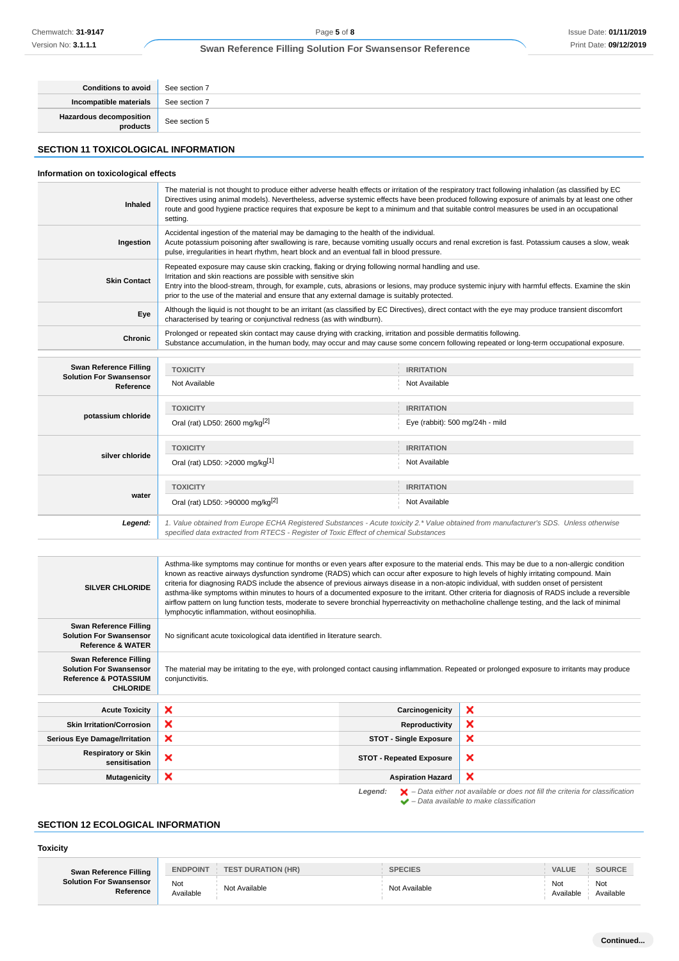| Conditions to avoid                 | See section 7 |
|-------------------------------------|---------------|
| Incompatible materials              | See section 7 |
| Hazardous decomposition<br>products | See section 5 |

# **SECTION 11 TOXICOLOGICAL INFORMATION**

# **Information on toxicological effects**

| Inhaled             | The material is not thought to produce either adverse health effects or irritation of the respiratory tract following inhalation (as classified by EC<br>Directives using animal models). Nevertheless, adverse systemic effects have been produced following exposure of animals by at least one other<br>route and good hygiene practice requires that exposure be kept to a minimum and that suitable control measures be used in an occupational<br>setting. |
|---------------------|------------------------------------------------------------------------------------------------------------------------------------------------------------------------------------------------------------------------------------------------------------------------------------------------------------------------------------------------------------------------------------------------------------------------------------------------------------------|
| Ingestion           | Accidental ingestion of the material may be damaging to the health of the individual.<br>Acute potassium poisoning after swallowing is rare, because vomiting usually occurs and renal excretion is fast. Potassium causes a slow, weak<br>pulse, irreqularities in heart rhythm, heart block and an eventual fall in blood pressure.                                                                                                                            |
| <b>Skin Contact</b> | Repeated exposure may cause skin cracking, flaking or drying following normal handling and use.<br>Irritation and skin reactions are possible with sensitive skin<br>Entry into the blood-stream, through, for example, cuts, abrasions or lesions, may produce systemic injury with harmful effects. Examine the skin<br>prior to the use of the material and ensure that any external damage is suitably protected.                                            |
| Eye                 | Although the liquid is not thought to be an irritant (as classified by EC Directives), direct contact with the eye may produce transient discomfort<br>characterised by tearing or conjunctival redness (as with windburn).                                                                                                                                                                                                                                      |
| Chronic             | Prolonged or repeated skin contact may cause drying with cracking, irritation and possible dermatitis following.<br>Substance accumulation, in the human body, may occur and may cause some concern following repeated or long-term occupational exposure.                                                                                                                                                                                                       |

| <b>Swan Reference Filling</b>               | <b>TOXICITY</b>                                                                                                                                                                                                                 | <b>IRRITATION</b>               |
|---------------------------------------------|---------------------------------------------------------------------------------------------------------------------------------------------------------------------------------------------------------------------------------|---------------------------------|
| <b>Solution For Swansensor</b><br>Reference | Not Available                                                                                                                                                                                                                   | Not Available                   |
|                                             | <b>TOXICITY</b>                                                                                                                                                                                                                 | <b>IRRITATION</b>               |
| potassium chloride                          | Oral (rat) LD50: 2600 mg/kg <sup>[2]</sup>                                                                                                                                                                                      | Eye (rabbit): 500 mg/24h - mild |
|                                             | <b>TOXICITY</b>                                                                                                                                                                                                                 | <b>IRRITATION</b>               |
| silver chloride                             | Oral (rat) LD50: >2000 mg/kg[1]                                                                                                                                                                                                 | Not Available                   |
|                                             | <b>TOXICITY</b>                                                                                                                                                                                                                 | <b>IRRITATION</b>               |
| water                                       | Oral (rat) LD50: >90000 mg/kg <sup>[2]</sup>                                                                                                                                                                                    | Not Available                   |
| Legend:                                     | 1. Value obtained from Europe ECHA Registered Substances - Acute toxicity 2.* Value obtained from manufacturer's SDS. Unless otherwise<br>specified data extracted from RTECS - Register of Toxic Effect of chemical Substances |                                 |

| <b>SILVER CHLORIDE</b>                                                                                          | Asthma-like symptoms may continue for months or even years after exposure to the material ends. This may be due to a non-allergic condition<br>known as reactive airways dysfunction syndrome (RADS) which can occur after exposure to high levels of highly irritating compound. Main<br>criteria for diagnosing RADS include the absence of previous airways disease in a non-atopic individual, with sudden onset of persistent<br>asthma-like symptoms within minutes to hours of a documented exposure to the irritant. Other criteria for diagnosis of RADS include a reversible<br>airflow pattern on lung function tests, moderate to severe bronchial hyperreactivity on methacholine challenge testing, and the lack of minimal<br>lymphocytic inflammation, without eosinophilia. |                                 |   |  |
|-----------------------------------------------------------------------------------------------------------------|----------------------------------------------------------------------------------------------------------------------------------------------------------------------------------------------------------------------------------------------------------------------------------------------------------------------------------------------------------------------------------------------------------------------------------------------------------------------------------------------------------------------------------------------------------------------------------------------------------------------------------------------------------------------------------------------------------------------------------------------------------------------------------------------|---------------------------------|---|--|
| Swan Reference Filling<br><b>Solution For Swansensor</b><br><b>Reference &amp; WATER</b>                        | No significant acute toxicological data identified in literature search.                                                                                                                                                                                                                                                                                                                                                                                                                                                                                                                                                                                                                                                                                                                     |                                 |   |  |
| Swan Reference Filling<br><b>Solution For Swansensor</b><br><b>Reference &amp; POTASSIUM</b><br><b>CHLORIDE</b> | The material may be irritating to the eye, with prolonged contact causing inflammation. Repeated or prolonged exposure to irritants may produce<br>conjunctivitis.                                                                                                                                                                                                                                                                                                                                                                                                                                                                                                                                                                                                                           |                                 |   |  |
| <b>Acute Toxicity</b>                                                                                           | ×                                                                                                                                                                                                                                                                                                                                                                                                                                                                                                                                                                                                                                                                                                                                                                                            | Carcinogenicity                 | × |  |
| <b>Skin Irritation/Corrosion</b>                                                                                | ×                                                                                                                                                                                                                                                                                                                                                                                                                                                                                                                                                                                                                                                                                                                                                                                            | Reproductivity                  | × |  |
| <b>Serious Eye Damage/Irritation</b>                                                                            | ×                                                                                                                                                                                                                                                                                                                                                                                                                                                                                                                                                                                                                                                                                                                                                                                            | <b>STOT - Single Exposure</b>   | × |  |
| <b>Respiratory or Skin</b><br>sensitisation                                                                     | ×                                                                                                                                                                                                                                                                                                                                                                                                                                                                                                                                                                                                                                                                                                                                                                                            | <b>STOT - Repeated Exposure</b> | × |  |
| <b>Mutagenicity</b>                                                                                             | ×                                                                                                                                                                                                                                                                                                                                                                                                                                                                                                                                                                                                                                                                                                                                                                                            | <b>Aspiration Hazard</b>        | × |  |
|                                                                                                                 | $\blacktriangleright$ - Data either not available or does not fill the criteria for classification<br>Legend:                                                                                                                                                                                                                                                                                                                                                                                                                                                                                                                                                                                                                                                                                |                                 |   |  |

# **SECTION 12 ECOLOGICAL INFORMATION**

# **Toxicity**

| <b>Swan Reference Filling</b><br><b>Solution For Swansensor</b><br>Reference | <b>ENDPOINT</b>  | <b>TEST DURATION (HR)</b> | <b>SPECIES</b> | <b>VALUE</b>     | <b>SOURCE</b>    |
|------------------------------------------------------------------------------|------------------|---------------------------|----------------|------------------|------------------|
|                                                                              | Not<br>Available | Not Available             | Not Available  | Not<br>Available | Not<br>Available |

– Data available to make classification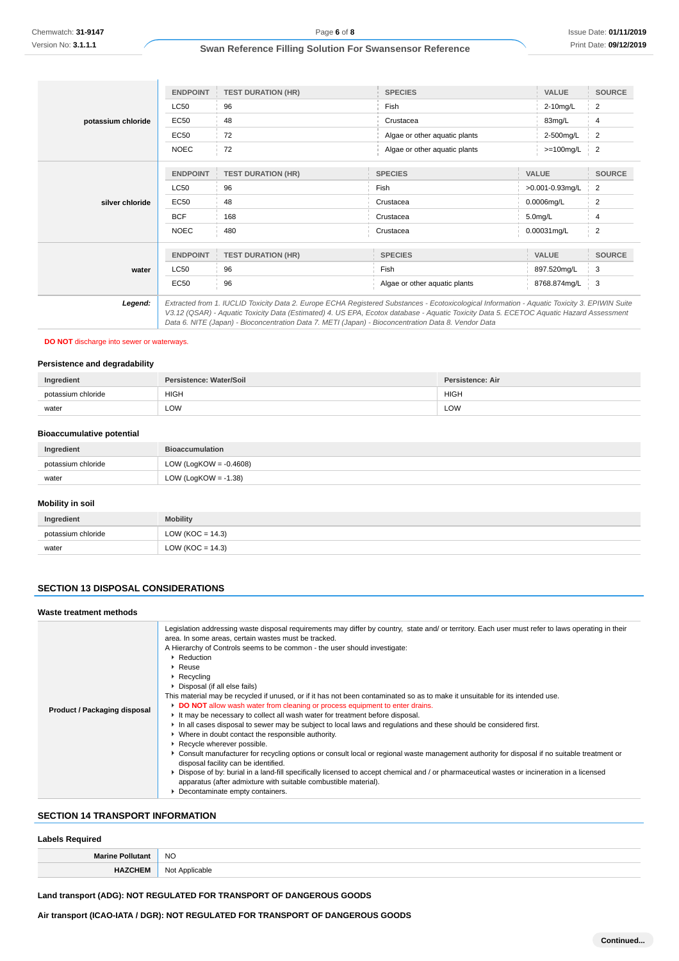|                    | <b>ENDPOINT</b>                                                                                                                                                                                                                                | <b>TEST DURATION (HR)</b>                                                                                                                     | <b>SPECIES</b>                | <b>VALUE</b>    | <b>SOURCE</b>  |
|--------------------|------------------------------------------------------------------------------------------------------------------------------------------------------------------------------------------------------------------------------------------------|-----------------------------------------------------------------------------------------------------------------------------------------------|-------------------------------|-----------------|----------------|
|                    | <b>LC50</b>                                                                                                                                                                                                                                    | 96                                                                                                                                            | Fish                          | 2-10mg/L        | 2              |
| potassium chloride | EC50                                                                                                                                                                                                                                           | 48                                                                                                                                            | Crustacea                     | 83mg/L          | 4              |
|                    | EC50                                                                                                                                                                                                                                           | 72                                                                                                                                            | Algae or other aquatic plants | 2-500mg/L       | $\overline{2}$ |
|                    | <b>NOEC</b>                                                                                                                                                                                                                                    | 72                                                                                                                                            | Algae or other aquatic plants | $>=100$ mg/L    | $\overline{2}$ |
|                    | <b>ENDPOINT</b>                                                                                                                                                                                                                                | <b>TEST DURATION (HR)</b>                                                                                                                     | <b>SPECIES</b>                | <b>VALUE</b>    | <b>SOURCE</b>  |
| silver chloride    | <b>LC50</b>                                                                                                                                                                                                                                    | 96                                                                                                                                            | Fish                          | >0.001-0.93mg/L | 2              |
|                    | <b>EC50</b>                                                                                                                                                                                                                                    | 48                                                                                                                                            | Crustacea                     | 0.0006mg/L      | 2              |
|                    | <b>BCF</b>                                                                                                                                                                                                                                     | 168                                                                                                                                           | Crustacea                     | $5.0$ mg/L      | 4              |
|                    | <b>NOEC</b>                                                                                                                                                                                                                                    | 480                                                                                                                                           | Crustacea                     | 0.00031mg/L     | 2              |
|                    |                                                                                                                                                                                                                                                |                                                                                                                                               |                               |                 |                |
|                    | <b>ENDPOINT</b>                                                                                                                                                                                                                                | <b>TEST DURATION (HR)</b>                                                                                                                     | <b>SPECIES</b>                | <b>VALUE</b>    | <b>SOURCE</b>  |
| water              | <b>LC50</b>                                                                                                                                                                                                                                    | 96                                                                                                                                            | Fish                          | 897.520mg/L     | 3              |
|                    | <b>EC50</b>                                                                                                                                                                                                                                    | 96                                                                                                                                            | Algae or other aquatic plants | 8768.874mg/L    | 3              |
| Legend:            |                                                                                                                                                                                                                                                | Extracted from 1. IUCLID Toxicity Data 2. Europe ECHA Registered Substances - Ecotoxicological Information - Aquatic Toxicity 3. EPIWIN Suite |                               |                 |                |
|                    | V3.12 (QSAR) - Aquatic Toxicity Data (Estimated) 4. US EPA, Ecotox database - Aquatic Toxicity Data 5. ECETOC Aquatic Hazard Assessment<br>Data 6. NITE (Japan) - Bioconcentration Data 7. METI (Japan) - Bioconcentration Data 8. Vendor Data |                                                                                                                                               |                               |                 |                |

# **DO NOT** discharge into sewer or waterways.

### **Persistence and degradability**

| Ingredient         | Persistence: Water/Soil | Persistence: Air |
|--------------------|-------------------------|------------------|
| potassium chloride | <b>HIGH</b>             | <b>HIGH</b>      |
| water              | LOW                     | LOW              |

### **Bioaccumulative potential**

| Ingredient         | <b>Bioaccumulation</b>    |  |
|--------------------|---------------------------|--|
| potassium chloride | LOW (LogKOW = $-0.4608$ ) |  |
| water              | LOW (LogKOW = $-1.38$ )   |  |

### **Mobility in soil**

| Ingredient         | <b>Mobility</b>      |  |  |
|--------------------|----------------------|--|--|
| potassium chloride | LOW ( $KOC = 14.3$ ) |  |  |
| water              | LOW (KOC = $14.3$ )  |  |  |

### **SECTION 13 DISPOSAL CONSIDERATIONS**

#### **Waste treatment methods**

| Product / Packaging disposal | Legislation addressing waste disposal requirements may differ by country, state and/ or territory. Each user must refer to laws operating in their<br>area. In some areas, certain wastes must be tracked.<br>A Hierarchy of Controls seems to be common - the user should investigate:<br>▶ Reduction<br>$\blacktriangleright$ Reuse<br>$\triangleright$ Recycling<br>Disposal (if all else fails)<br>This material may be recycled if unused, or if it has not been contaminated so as to make it unsuitable for its intended use.<br>DO NOT allow wash water from cleaning or process equipment to enter drains.<br>It may be necessary to collect all wash water for treatment before disposal.<br>In all cases disposal to sewer may be subject to local laws and regulations and these should be considered first.<br>• Where in doubt contact the responsible authority.<br>Recycle wherever possible.<br>▶ Consult manufacturer for recycling options or consult local or regional waste management authority for disposal if no suitable treatment or<br>disposal facility can be identified.<br>Dispose of by: burial in a land-fill specifically licensed to accept chemical and / or pharmaceutical wastes or incineration in a licensed<br>apparatus (after admixture with suitable combustible material).<br>Decontaminate empty containers. |  |
|------------------------------|------------------------------------------------------------------------------------------------------------------------------------------------------------------------------------------------------------------------------------------------------------------------------------------------------------------------------------------------------------------------------------------------------------------------------------------------------------------------------------------------------------------------------------------------------------------------------------------------------------------------------------------------------------------------------------------------------------------------------------------------------------------------------------------------------------------------------------------------------------------------------------------------------------------------------------------------------------------------------------------------------------------------------------------------------------------------------------------------------------------------------------------------------------------------------------------------------------------------------------------------------------------------------------------------------------------------------------------------------------|--|

# **SECTION 14 TRANSPORT INFORMATION**

## **Labels Required**

| ___           |                 |  |
|---------------|-----------------|--|
| <b>Marine</b> | <b>NO</b>       |  |
|               | Νι∧+<br>''∩ahle |  |

# **Land transport (ADG): NOT REGULATED FOR TRANSPORT OF DANGEROUS GOODS**

**Air transport (ICAO-IATA / DGR): NOT REGULATED FOR TRANSPORT OF DANGEROUS GOODS**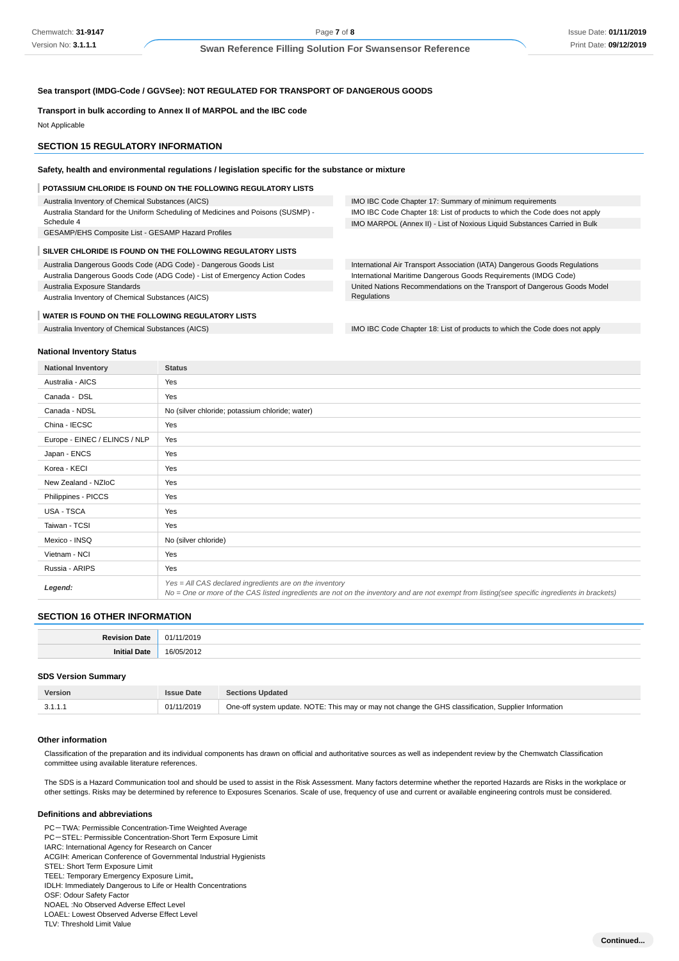IMO IBC Code Chapter 17: Summary of minimum requirements

IMO IBC Code Chapter 18: List of products to which the Code does not apply IMO MARPOL (Annex II) - List of Noxious Liquid Substances Carried in Bulk

International Air Transport Association (IATA) Dangerous Goods Regulations International Maritime Dangerous Goods Requirements (IMDG Code) United Nations Recommendations on the Transport of Dangerous Goods Model

### **Sea transport (IMDG-Code / GGVSee): NOT REGULATED FOR TRANSPORT OF DANGEROUS GOODS**

#### **Transport in bulk according to Annex II of MARPOL and the IBC code**

Not Applicable

#### **SECTION 15 REGULATORY INFORMATION**

#### **Safety, health and environmental regulations / legislation specific for the substance or mixture**

#### **POTASSIUM CHLORIDE IS FOUND ON THE FOLLOWING REGULATORY LISTS**

Australia Inventory of Chemical Substances (AICS)

Australia Standard for the Uniform Scheduling of Medicines and Poisons (SUSMP) - Schedule 4

GESAMP/EHS Composite List - GESAMP Hazard Profiles

#### **SILVER CHLORIDE IS FOUND ON THE FOLLOWING REGULATORY LISTS**

Australia Dangerous Goods Code (ADG Code) - Dangerous Goods List

Australia Dangerous Goods Code (ADG Code) - List of Emergency Action Codes Australia Exposure Standards

Australia Inventory of Chemical Substances (AICS)

#### **WATER IS FOUND ON THE FOLLOWING REGULATORY LISTS**

Australia Inventory of Chemical Substances (AICS) **IMO IBC Code Chapter 18:** List of products to which the Code does not apply

#### **National Inventory Status**

**National Inventory Status** Australia - AICS Yes Canada - DSL Yes Canada - NDSL No (silver chloride; potassium chloride; water) China - IECSC Yes Europe - EINEC / ELINCS / NLP Yes Japan - ENCS Yes Korea - KECI Yes New Zealand - NZIoC Yes Philippines - PICCS Yes USA - TSCA Yes Taiwan - TCSI Yes Mexico - INSQ No (silver chloride) Vietnam - NCI Yes Russia - ARIPS Yes **Legend:** Yes = All CAS declared ingredients are on the inventory No = One or more of the CAS listed ingredients are not on the inventory and are not exempt from listing(see specific ingredients in brackets)

**Regulations** 

### **SECTION 16 OTHER INFORMATION**

#### **SDS Version Summary**

| <b>Version</b> | <b>Issue Date</b> | <b>Sections Updated</b>                                                                              |
|----------------|-------------------|------------------------------------------------------------------------------------------------------|
| 3.1.1.1        | 01/11/2019        | One-off system update. NOTE: This may or may not change the GHS classification, Supplier Information |

#### **Other information**

Classification of the preparation and its individual components has drawn on official and authoritative sources as well as independent review by the Chemwatch Classification committee using available literature references.

The SDS is a Hazard Communication tool and should be used to assist in the Risk Assessment. Many factors determine whether the reported Hazards are Risks in the workplace or other settings. Risks may be determined by reference to Exposures Scenarios. Scale of use, frequency of use and current or available engineering controls must be considered.

#### **Definitions and abbreviations**

PC-TWA: Permissible Concentration-Time Weighted Average PC-STEL: Permissible Concentration-Short Term Exposure Limit IARC: International Agency for Research on Cancer ACGIH: American Conference of Governmental Industrial Hygienists STEL: Short Term Exposure Limit TEEL: Temporary Emergency Exposure Limit。 IDLH: Immediately Dangerous to Life or Health Concentrations OSF: Odour Safety Factor NOAEL :No Observed Adverse Effect Level LOAEL: Lowest Observed Adverse Effect Level TLV: Threshold Limit Value